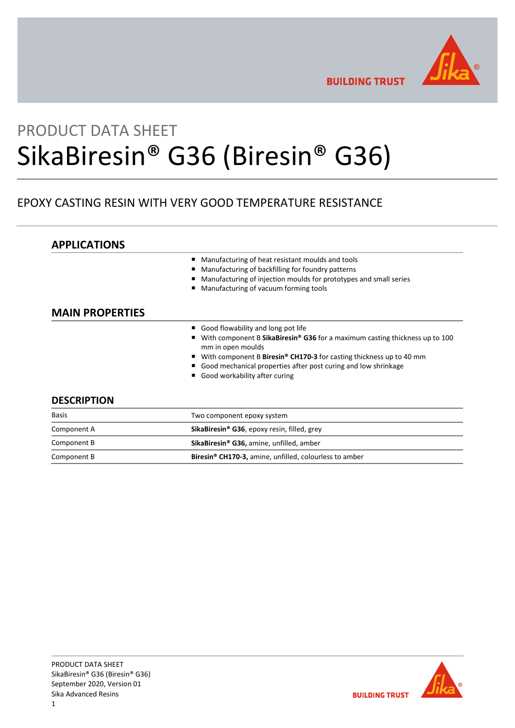

**BUILDING TRUST** 

# PRODUCT DATA SHEET SikaBiresin® G36 (Biresin® G36)

# EPOXY CASTING RESIN WITH VERY GOOD TEMPERATURE RESISTANCE

# **APPLICATIONS**

- Manufacturing of heat resistant moulds and tools
- Manufacturing of backfilling for foundry patterns
- Manufacturing of injection moulds for prototypes and small series
- Manufacturing of vacuum forming tools

# **MAIN PROPERTIES**

- Good flowability and long pot life
- With component B SikaBiresin<sup>®</sup> G36 for a maximum casting thickness up to 100 mm in open moulds
- With component B Biresin<sup>®</sup> CH170-3 for casting thickness up to 40 mm
- Good mechanical properties after post curing and low shrinkage
- Good workability after curing

# **DESCRIPTION**

| <b>Basis</b> | Two component epoxy system                                         |  |
|--------------|--------------------------------------------------------------------|--|
| Component A  | SikaBiresin® G36, epoxy resin, filled, grey                        |  |
| Component B  | SikaBiresin® G36, amine, unfilled, amber                           |  |
| Component B  | Biresin <sup>®</sup> CH170-3, amine, unfilled, colourless to amber |  |

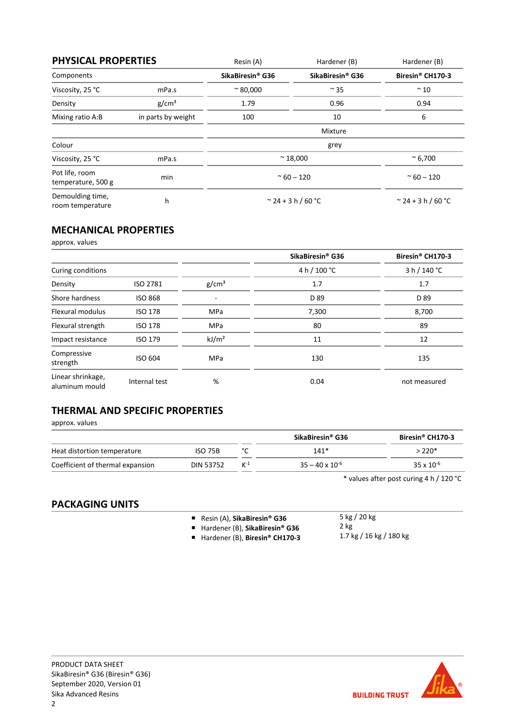| <b>PHYSICAL PROPERTIES</b>           |                    | Resin (A)                              | Hardener (B)                 | Hardener (B)                        |
|--------------------------------------|--------------------|----------------------------------------|------------------------------|-------------------------------------|
| Components                           |                    | SikaBiresin <sup>®</sup> G36           | SikaBiresin <sup>®</sup> G36 | Biresin <sup>®</sup> CH170-3        |
| Viscosity, 25 °C                     | mPa.s              | $~^{\sim}$ 80,000                      | $\sim$ 35                    | $~^{\sim}$ 10                       |
| Density                              | g/cm <sup>3</sup>  | 1.79                                   | 0.96                         | 0.94                                |
| Mixing ratio A:B                     | in parts by weight | 100                                    | 10                           | 6                                   |
|                                      |                    |                                        | Mixture                      |                                     |
| Colour                               |                    |                                        | grey                         |                                     |
| Viscosity, 25 °C                     | mPa.s              | $~^{\sim}$ 6,700<br>$~^{\sim}$ 18,000  |                              |                                     |
| Pot life, room<br>temperature, 500 g | min                | $~\sim$ 60 - 120<br>$~\sim$ 60 $-$ 120 |                              |                                     |
| Demoulding time,<br>room temperature | h                  | $\degree$ 24 + 3 h / 60 $\degree$ C    |                              | $\degree$ 24 + 3 h / 60 $\degree$ C |

# **MECHANICAL PROPERTIES**

approx. values

|                                     |                |                   | SikaBiresin <sup>®</sup> G36 | Biresin® CH170-3 |
|-------------------------------------|----------------|-------------------|------------------------------|------------------|
| Curing conditions                   |                |                   | 4 h / 100 °C                 | 3 h / 140 °C     |
| Density                             | ISO 2781       | g/cm <sup>3</sup> | 1.7                          | 1.7              |
| Shore hardness                      | <b>ISO 868</b> |                   | D 89                         | D 89             |
| <b>Flexural modulus</b>             | <b>ISO 178</b> | <b>MPa</b>        | 7,300                        | 8,700            |
| Flexural strength                   | <b>ISO 178</b> | <b>MPa</b>        | 80                           | 89               |
| Impact resistance                   | <b>ISO 179</b> | kJ/m <sup>2</sup> | 11                           | 12               |
| Compressive<br>strength             | ISO 604        | MPa               | 130                          | 135              |
| Linear shrinkage,<br>aluminum mould | Internal test  | %                 | 0.04                         | not measured     |

# **THERMAL AND SPECIFIC PROPERTIES**

approx. values

|                                  |                  |       | SikaBiresin® G36         | Biresin <sup>®</sup> CH170-3 |
|----------------------------------|------------------|-------|--------------------------|------------------------------|
| Heat distortion temperature      | <b>ISO 75B</b>   |       | $141*$                   | > 220*                       |
| Coefficient of thermal expansion | <b>DIN 53752</b> | $K-1$ | $35 - 40 \times 10^{-6}$ | $35 \times 10^{-6}$          |

\* values after post curing 4 h / 120 °C

# **PACKAGING UNITS**

- Resin (A), **SikaBiresin<sup>®</sup> G36**
- Hardener (B), **SikaBiresin<sup>®</sup> G36**
- Hardener (B), **Biresin<sup>®</sup> CH170-3**
- 5 kg / 20 kg 2 kg 1.7 kg / 16 kg / 180 kg

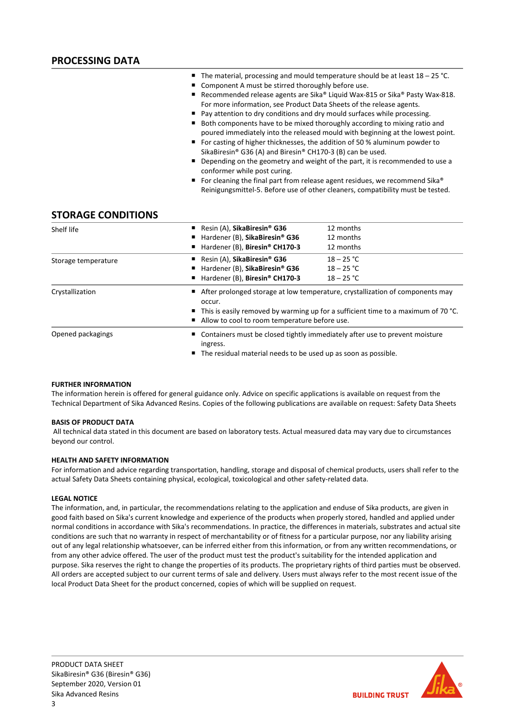- The material, processing and mould temperature should be at least 18 25 °C.
- Component A must be stirred thoroughly before use.
- Recommended release agents are Sika® Liquid Wax-815 or Sika® Pasty Wax-818. For more information, see Product Data Sheets of the release agents.
- Pay attention to dry conditions and dry mould surfaces while processing.
- Both components have to be mixed thoroughly according to mixing ratio and poured immediately into the released mould with beginning at the lowest point.
- For casting of higher thicknesses, the addition of 50 % aluminum powder to SikaBiresin® G36 (A) and Biresin® CH170-3 (B) can be used.
- Depending on the geometry and weight of the part, it is recommended to use a conformer while post curing.
- For cleaning the final part from release agent residues, we recommend Sika® Reinigungsmittel-5. Before use of other cleaners, compatibility must be tested.

### **STORAGE CONDITIONS**

| Shelf life          | Resin (A), SikaBiresin <sup>®</sup> G36<br>Hardener (B), SikaBiresin® G36<br>٠<br>Hardener (B), Biresin® CH170-3<br>п | 12 months<br>12 months<br>12 months                                                                                                                                                                                                  |  |  |
|---------------------|-----------------------------------------------------------------------------------------------------------------------|--------------------------------------------------------------------------------------------------------------------------------------------------------------------------------------------------------------------------------------|--|--|
| Storage temperature | Resin (A), SikaBiresin <sup>®</sup> G36<br>Hardener (B), SikaBiresin® G36<br>Hardener (B), Biresin® CH170-3<br>п      | $18 - 25 °C$<br>$18 - 25 °C$<br>$18 - 25 °C$                                                                                                                                                                                         |  |  |
| Crystallization     | occur.                                                                                                                | ■ After prolonged storage at low temperature, crystallization of components may<br>$\blacksquare$ This is easily removed by warming up for a sufficient time to a maximum of 70 °C.<br>Allow to cool to room temperature before use. |  |  |
| Opened packagings   | ingress.                                                                                                              | ■ Containers must be closed tightly immediately after use to prevent moisture<br>■ The residual material needs to be used up as soon as possible.                                                                                    |  |  |

#### **FURTHER INFORMATION**

The information herein is offered for general guidance only. Advice on specific applications is available on request from the Technical Department of Sika Advanced Resins. Copies of the following publications are available on request: Safety Data Sheets

#### **BASIS OF PRODUCT DATA**

All technical data stated in this document are based on laboratory tests. Actual measured data may vary due to circumstances beyond our control.

#### **HEALTH AND SAFETY INFORMATION**

For information and advice regarding transportation, handling, storage and disposal of chemical products, users shall refer to the actual Safety Data Sheets containing physical, ecological, toxicological and other safety-related data.

#### **LEGAL NOTICE**

The information, and, in particular, the recommendations relating to the application and enduse of Sika products, are given in good faith based on Sika's current knowledge and experience of the products when properly stored, handled and applied under normal conditions in accordance with Sika's recommendations. In practice, the differences in materials, substrates and actual site conditions are such that no warranty in respect of merchantability or of fitness for a particular purpose, nor any liability arising out of any legal relationship whatsoever, can be inferred either from this information, or from any written recommendations, or from any other advice offered. The user of the product must test the product's suitability for the intended application and purpose. Sika reserves the right to change the properties of its products. The proprietary rights of third parties must be observed. All orders are accepted subject to our current terms of sale and delivery. Users must always refer to the most recent issue of the local Product Data Sheet for the product concerned, copies of which will be supplied on request.